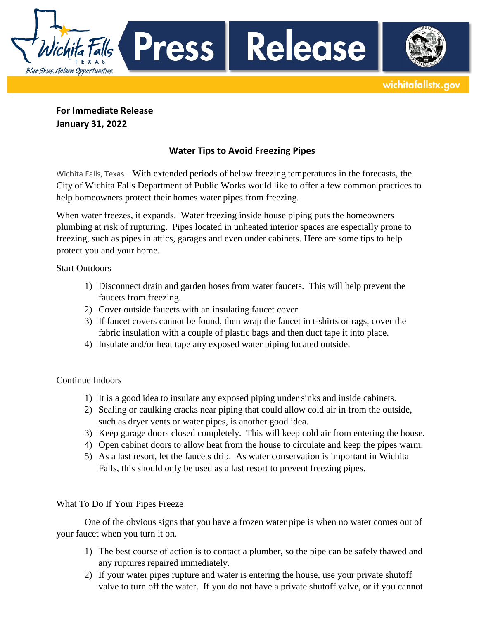**For Immediate Release**

**Press** 

**January 31, 2022**

Blue Skies. Golden Opportunities.

## **Water Tips to Avoid Freezing Pipes**

Release

wichitafallstx.gov

Wichita Falls, Texas – With extended periods of below freezing temperatures in the forecasts, the City of Wichita Falls Department of Public Works would like to offer a few common practices to help homeowners protect their homes water pipes from freezing.

When water freezes, it expands. Water freezing inside house piping puts the homeowners plumbing at risk of rupturing. Pipes located in unheated interior spaces are especially prone to freezing, such as pipes in attics, garages and even under cabinets. Here are some tips to help protect you and your home.

Start Outdoors

- 1) Disconnect drain and garden hoses from water faucets. This will help prevent the faucets from freezing.
- 2) Cover outside faucets with an insulating faucet cover.
- 3) If faucet covers cannot be found, then wrap the faucet in t-shirts or rags, cover the fabric insulation with a couple of plastic bags and then duct tape it into place.
- 4) Insulate and/or heat tape any exposed water piping located outside.

Continue Indoors

- 1) It is a good idea to insulate any exposed piping under sinks and inside cabinets.
- 2) Sealing or caulking cracks near piping that could allow cold air in from the outside, such as dryer vents or water pipes, is another good idea.
- 3) Keep garage doors closed completely. This will keep cold air from entering the house.
- 4) Open cabinet doors to allow heat from the house to circulate and keep the pipes warm.
- 5) As a last resort, let the faucets drip. As water conservation is important in Wichita Falls, this should only be used as a last resort to prevent freezing pipes.

What To Do If Your Pipes Freeze

One of the obvious signs that you have a frozen water pipe is when no water comes out of your faucet when you turn it on.

- 1) The best course of action is to contact a plumber, so the pipe can be safely thawed and any ruptures repaired immediately.
- 2) If your water pipes rupture and water is entering the house, use your private shutoff valve to turn off the water. If you do not have a private shutoff valve, or if you cannot